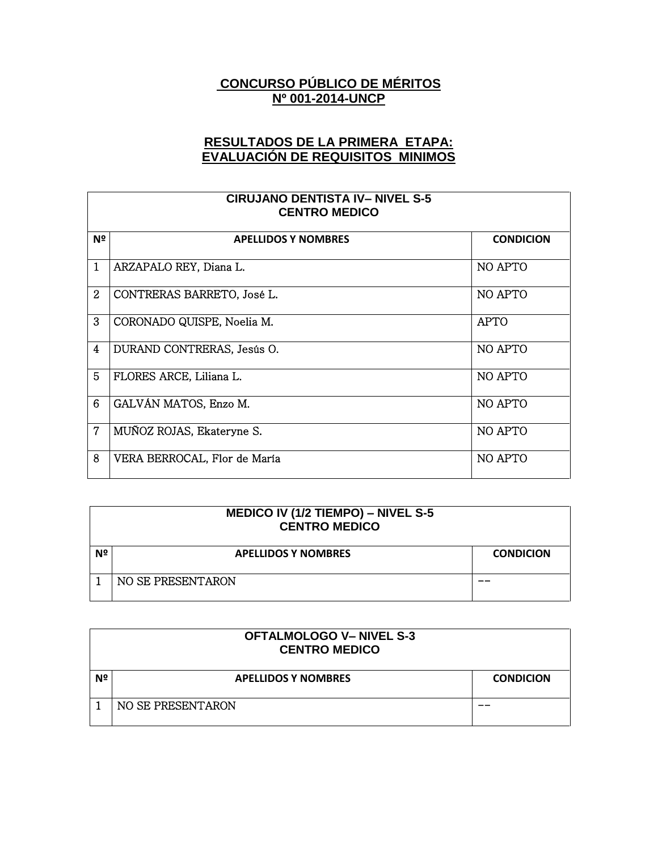## **CONCURSO PÚBLICO DE MÉRITOS Nº 001-2014-UNCP**

## **RESULTADOS DE LA PRIMERA ETAPA: EVALUACIÓN DE REQUISITOS MINIMOS**

| <b>CIRUJANO DENTISTA IV-NIVEL S-5</b><br><b>CENTRO MEDICO</b> |                              |                  |
|---------------------------------------------------------------|------------------------------|------------------|
| Nº                                                            | <b>APELLIDOS Y NOMBRES</b>   | <b>CONDICION</b> |
| $\mathbf{1}$                                                  | ARZAPALO REY, Diana L.       | NO APTO          |
| $\overline{2}$                                                | CONTRERAS BARRETO, José L.   | NO APTO          |
| 3                                                             | CORONADO QUISPE, Noelia M.   | <b>APTO</b>      |
| 4                                                             | DURAND CONTRERAS, Jesús O.   | NO APTO          |
| 5                                                             | FLORES ARCE, Liliana L.      | NO APTO          |
| 6                                                             | GALVÁN MATOS, Enzo M.        | NO APTO          |
| $\overline{7}$                                                | MUÑOZ ROJAS, Ekateryne S.    | NO APTO          |
| 8                                                             | VERA BERROCAL, Flor de María | NO APTO          |

| <b>MEDICO IV (1/2 TIEMPO) – NIVEL S-5</b><br><b>CENTRO MEDICO</b> |                            |                  |
|-------------------------------------------------------------------|----------------------------|------------------|
| Nº                                                                | <b>APELLIDOS Y NOMBRES</b> | <b>CONDICION</b> |
|                                                                   | NO SE PRESENTARON          |                  |

|    | <b>OFTALMOLOGO V- NIVEL S-3</b><br><b>CENTRO MEDICO</b> |                  |  |
|----|---------------------------------------------------------|------------------|--|
| Nº | <b>APELLIDOS Y NOMBRES</b>                              | <b>CONDICION</b> |  |
|    | NO SE PRESENTARON                                       |                  |  |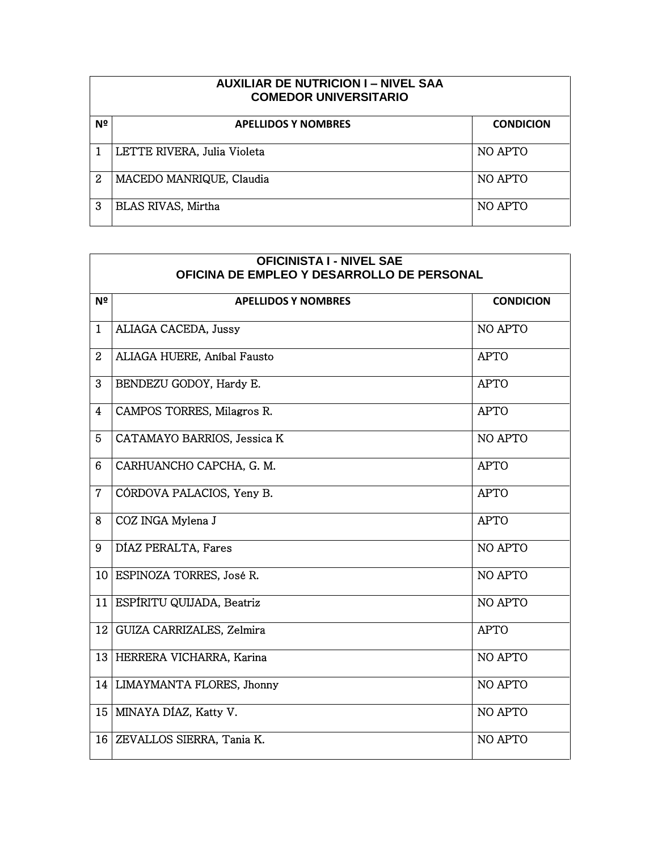| <b>AUXILIAR DE NUTRICION I - NIVEL SAA</b><br><b>COMEDOR UNIVERSITARIO</b> |                             |                  |  |
|----------------------------------------------------------------------------|-----------------------------|------------------|--|
| Nº                                                                         | <b>APELLIDOS Y NOMBRES</b>  | <b>CONDICION</b> |  |
|                                                                            | LETTE RIVERA, Julia Violeta | NO APTO          |  |
| 2                                                                          | MACEDO MANRIQUE, Claudia    | NO APTO          |  |
| 3                                                                          | BLAS RIVAS, Mirtha          | NO APTO          |  |

٦

Г

|                 | <b>OFICINISTA I - NIVEL SAE</b><br>OFICINA DE EMPLEO Y DESARROLLO DE PERSONAL |                  |  |
|-----------------|-------------------------------------------------------------------------------|------------------|--|
| Nº              | <b>APELLIDOS Y NOMBRES</b>                                                    | <b>CONDICION</b> |  |
| $\mathbf{1}$    | ALIAGA CACEDA, Jussy                                                          | NO APTO          |  |
| $\overline{2}$  | ALIAGA HUERE, Anibal Fausto                                                   | <b>APTO</b>      |  |
| 3               | BENDEZU GODOY, Hardy E.                                                       | <b>APTO</b>      |  |
| 4               | CAMPOS TORRES, Milagros R.                                                    | <b>APTO</b>      |  |
| $5\overline{)}$ | CATAMAYO BARRIOS, Jessica K                                                   | NO APTO          |  |
| 6               | CARHUANCHO CAPCHA, G. M.                                                      | <b>APTO</b>      |  |
| $\overline{7}$  | CÓRDOVA PALACIOS, Yeny B.                                                     | <b>APTO</b>      |  |
| 8               | COZ INGA Mylena J                                                             | <b>APTO</b>      |  |
| 9               | DÍAZ PERALTA, Fares                                                           | NO APTO          |  |
|                 | 10 ESPINOZA TORRES, José R.                                                   | NO APTO          |  |
| 11              | ESPÍRITU QUIJADA, Beatriz                                                     | NO APTO          |  |
| 12              | GUIZA CARRIZALES, Zelmira                                                     | <b>APTO</b>      |  |
|                 | 13 HERRERA VICHARRA, Karina                                                   | NO APTO          |  |
|                 | 14   LIMAYMANTA FLORES, Jhonny                                                | NO APTO          |  |
| 15 <sub>1</sub> | MINAYA DÍAZ, Katty V.                                                         | NO APTO          |  |
|                 | 16 ZEVALLOS SIERRA, Tania K.                                                  | NO APTO          |  |